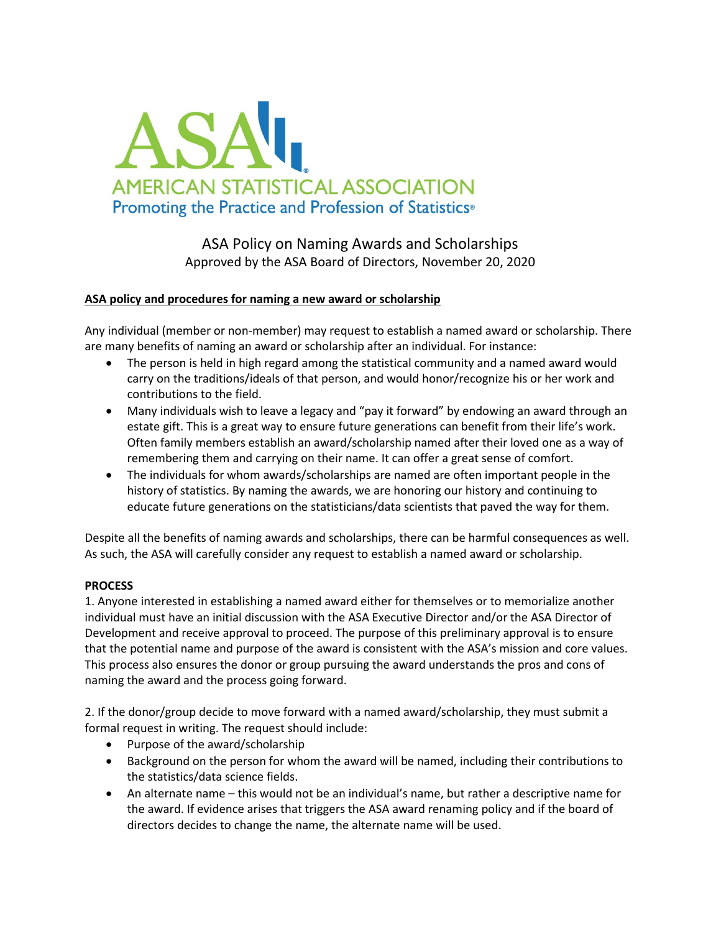

ASA Policy on Naming Awards and Scholarships Approved by the ASA Board of Directors, November 20, 2020

## **ASA policy and procedures for naming a new award or scholarship**

Any individual (member or non-member) may request to establish a named award or scholarship. There are many benefits of naming an award or scholarship after an individual. For instance:

- The person is held in high regard among the statistical community and a named award would carry on the traditions/ideals of that person, and would honor/recognize his or her work and contributions to the field.
- Many individuals wish to leave a legacy and "pay it forward" by endowing an award through an estate gift. This is a great way to ensure future generations can benefit from their life's work. Often family members establish an award/scholarship named after their loved one as a way of remembering them and carrying on their name. It can offer a great sense of comfort.
- The individuals for whom awards/scholarships are named are often important people in the history of statistics. By naming the awards, we are honoring our history and continuing to educate future generations on the statisticians/data scientists that paved the way for them.

Despite all the benefits of naming awards and scholarships, there can be harmful consequences as well. As such, the ASA will carefully consider any request to establish a named award or scholarship.

## **PROCESS**

1. Anyone interested in establishing a named award either for themselves or to memorialize another individual must have an initial discussion with the ASA Executive Director and/or the ASA Director of Development and receive approval to proceed. The purpose of this preliminary approval is to ensure that the potential name and purpose of the award is consistent with the ASA's mission and core values. This process also ensures the donor or group pursuing the award understands the pros and cons of naming the award and the process going forward.

2. If the donor/group decide to move forward with a named award/scholarship, they must submit a formal request in writing. The request should include:

- Purpose of the award/scholarship
- Background on the person for whom the award will be named, including their contributions to the statistics/data science fields.
- An alternate name this would not be an individual's name, but rather a descriptive name for the award. If evidence arises that triggers the ASA award renaming policy and if the board of directors decides to change the name, the alternate name will be used.